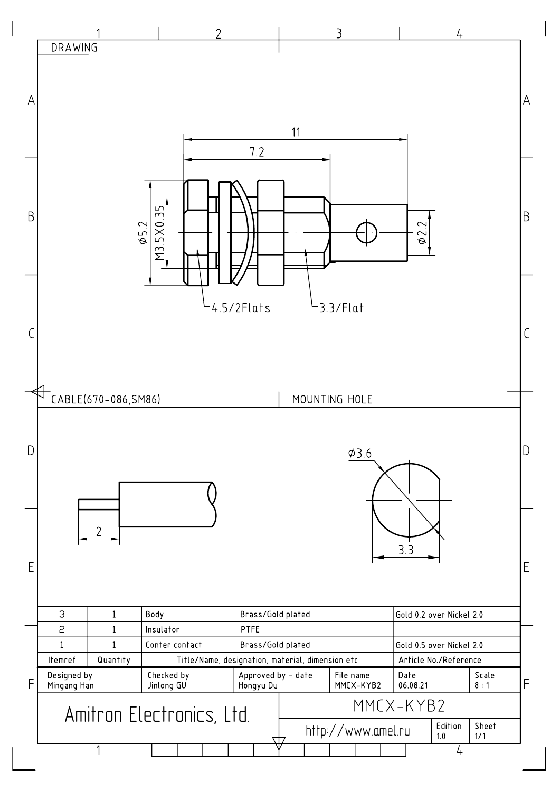